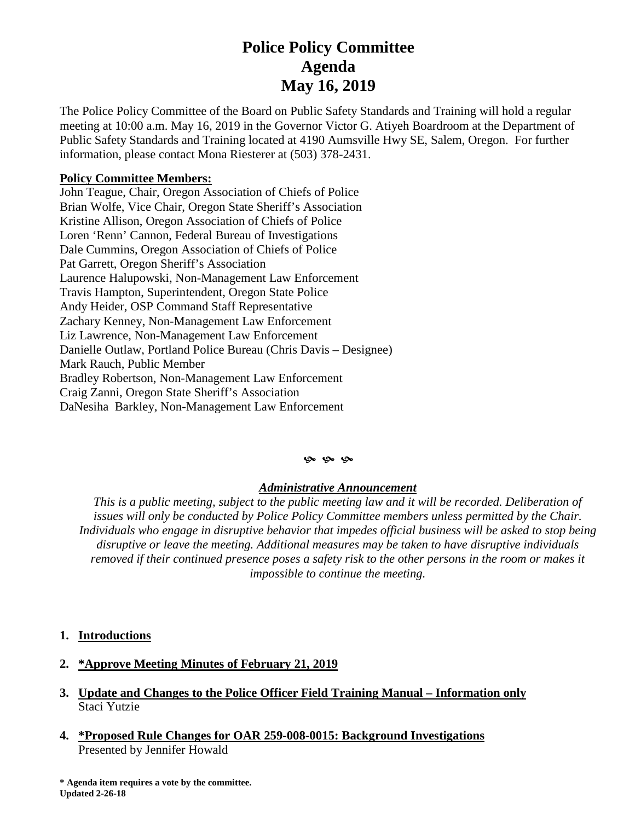# **Police Policy Committee Agenda May 16, 2019**

The Police Policy Committee of the Board on Public Safety Standards and Training will hold a regular meeting at 10:00 a.m. May 16, 2019 in the Governor Victor G. Atiyeh Boardroom at the Department of Public Safety Standards and Training located at 4190 Aumsville Hwy SE, Salem, Oregon. For further information, please contact Mona Riesterer at (503) 378-2431.

## **Policy Committee Members:**

John Teague, Chair, Oregon Association of Chiefs of Police Brian Wolfe, Vice Chair, Oregon State Sheriff's Association Kristine Allison, Oregon Association of Chiefs of Police Loren 'Renn' Cannon, Federal Bureau of Investigations Dale Cummins, Oregon Association of Chiefs of Police Pat Garrett, Oregon Sheriff's Association Laurence Halupowski, Non-Management Law Enforcement Travis Hampton, Superintendent, Oregon State Police Andy Heider, OSP Command Staff Representative Zachary Kenney, Non-Management Law Enforcement Liz Lawrence, Non-Management Law Enforcement Danielle Outlaw, Portland Police Bureau (Chris Davis – Designee) Mark Rauch, Public Member Bradley Robertson, Non-Management Law Enforcement Craig Zanni, Oregon State Sheriff's Association DaNesiha Barkley, Non-Management Law Enforcement

#### **9** 9 9

### *Administrative Announcement*

*This is a public meeting, subject to the public meeting law and it will be recorded. Deliberation of issues will only be conducted by Police Policy Committee members unless permitted by the Chair. Individuals who engage in disruptive behavior that impedes official business will be asked to stop being disruptive or leave the meeting. Additional measures may be taken to have disruptive individuals removed if their continued presence poses a safety risk to the other persons in the room or makes it impossible to continue the meeting.*

**1. Introductions** 

## **2. \*Approve Meeting Minutes of February 21, 2019**

- **3. Update and Changes to the Police Officer Field Training Manual – Information only** Staci Yutzie
- **4. \*Proposed Rule Changes for OAR 259-008-0015: Background Investigations** Presented by Jennifer Howald